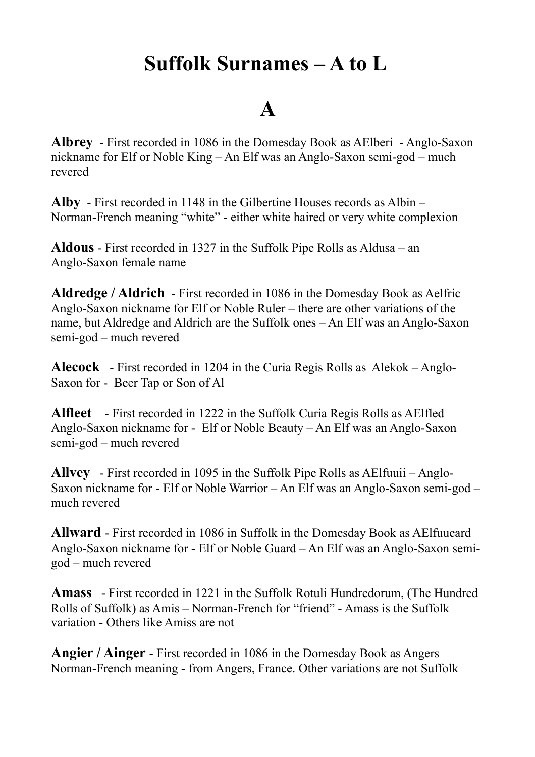## **Suffolk Surnames – A to L**

### **A**

**Albrey** - First recorded in 1086 in the Domesday Book as AElberi - Anglo-Saxon nickname for Elf or Noble King – An Elf was an Anglo-Saxon semi-god – much revered

**Alby** - First recorded in 1148 in the Gilbertine Houses records as Albin – Norman-French meaning "white" - either white haired or very white complexion

**Aldous** - First recorded in 1327 in the Suffolk Pipe Rolls as Aldusa – an Anglo-Saxon female name

**Aldredge / Aldrich** - First recorded in 1086 in the Domesday Book as Aelfric Anglo-Saxon nickname for Elf or Noble Ruler – there are other variations of the name, but Aldredge and Aldrich are the Suffolk ones – An Elf was an Anglo-Saxon semi-god – much revered

**Alecock** - First recorded in 1204 in the Curia Regis Rolls as Alekok – Anglo-Saxon for - Beer Tap or Son of Al

**Alfleet** - First recorded in 1222 in the Suffolk Curia Regis Rolls as AElfled Anglo-Saxon nickname for - Elf or Noble Beauty – An Elf was an Anglo-Saxon semi-god – much revered

**Allvey** - First recorded in 1095 in the Suffolk Pipe Rolls as AElfuuii – Anglo-Saxon nickname for - Elf or Noble Warrior – An Elf was an Anglo-Saxon semi-god – much revered

**Allward** - First recorded in 1086 in Suffolk in the Domesday Book as AElfuueard Anglo-Saxon nickname for - Elf or Noble Guard – An Elf was an Anglo-Saxon semigod – much revered

**Amass** - First recorded in 1221 in the Suffolk Rotuli Hundredorum, (The Hundred Rolls of Suffolk) as Amis – Norman-French for "friend" - Amass is the Suffolk variation - Others like Amiss are not

**Angier / Ainger** - First recorded in 1086 in the Domesday Book as Angers Norman-French meaning - from Angers, France. Other variations are not Suffolk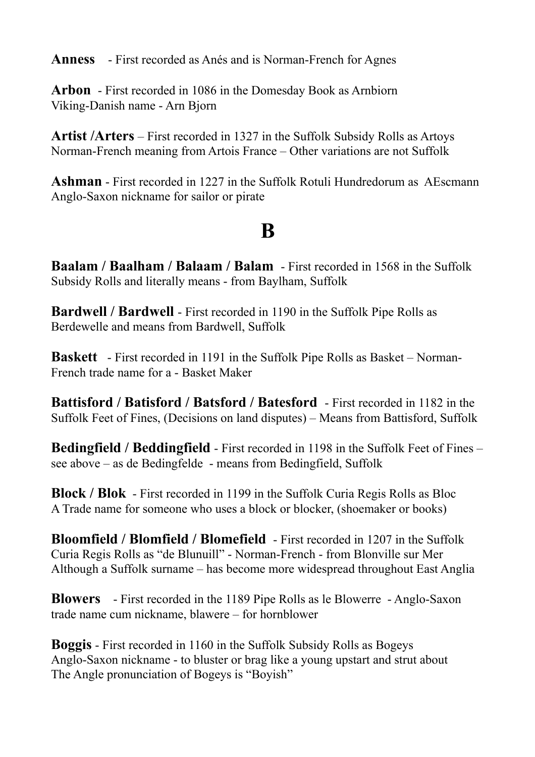**Anness** - First recorded as Anés and is Norman-French for Agnes

**Arbon** - First recorded in 1086 in the Domesday Book as Arnbiorn Viking-Danish name - Arn Bjorn

**Artist /Arters** – First recorded in 1327 in the Suffolk Subsidy Rolls as Artoys Norman-French meaning from Artois France – Other variations are not Suffolk

**Ashman** - First recorded in 1227 in the Suffolk Rotuli Hundredorum as AEscmann Anglo-Saxon nickname for sailor or pirate

## **B**

**Baalam / Baalham / Balaam / Balam** - First recorded in 1568 in the Suffolk Subsidy Rolls and literally means - from Baylham, Suffolk

**Bardwell / Bardwell** - First recorded in 1190 in the Suffolk Pipe Rolls as Berdewelle and means from Bardwell, Suffolk

**Baskett** - First recorded in 1191 in the Suffolk Pipe Rolls as Basket – Norman-French trade name for a - Basket Maker

**Battisford / Batisford / Batsford / Batesford** - First recorded in 1182 in the Suffolk Feet of Fines, (Decisions on land disputes) – Means from Battisford, Suffolk

**Bedingfield / Beddingfield** - First recorded in 1198 in the Suffolk Feet of Fines – see above – as de Bedingfelde - means from Bedingfield, Suffolk

**Block / Blok** - First recorded in 1199 in the Suffolk Curia Regis Rolls as Bloc A Trade name for someone who uses a block or blocker, (shoemaker or books)

**Bloomfield / Blomfield / Blomefield** - First recorded in 1207 in the Suffolk Curia Regis Rolls as "de Blunuill" - Norman-French - from Blonville sur Mer Although a Suffolk surname – has become more widespread throughout East Anglia

**Blowers** - First recorded in the 1189 Pipe Rolls as le Blowerre - Anglo-Saxon trade name cum nickname, blawere – for hornblower

**Boggis** - First recorded in 1160 in the Suffolk Subsidy Rolls as Bogeys Anglo-Saxon nickname - to bluster or brag like a young upstart and strut about The Angle pronunciation of Bogeys is "Boyish"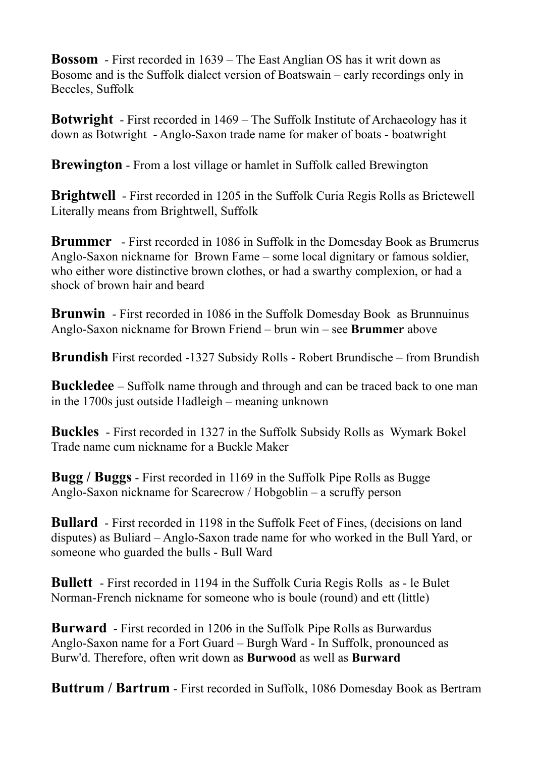**Bossom** - First recorded in 1639 – The East Anglian OS has it writ down as Bosome and is the Suffolk dialect version of Boatswain – early recordings only in Beccles, Suffolk

**Botwright** - First recorded in 1469 – The Suffolk Institute of Archaeology has it down as Botwright - Anglo-Saxon trade name for maker of boats - boatwright

**Brewington** - From a lost village or hamlet in Suffolk called Brewington

**Brightwell** - First recorded in 1205 in the Suffolk Curia Regis Rolls as Brictewell Literally means from Brightwell, Suffolk

**Brummer** - First recorded in 1086 in Suffolk in the Domesday Book as Brumerus Anglo-Saxon nickname for Brown Fame – some local dignitary or famous soldier, who either wore distinctive brown clothes, or had a swarthy complexion, or had a shock of brown hair and beard

**Brunwin** - First recorded in 1086 in the Suffolk Domesday Book as Brunnuinus Anglo-Saxon nickname for Brown Friend – brun win – see **Brummer** above

**Brundish** First recorded -1327 Subsidy Rolls - Robert Brundische – from Brundish

**Buckledee** – Suffolk name through and through and can be traced back to one man in the 1700s just outside Hadleigh – meaning unknown

**Buckles** - First recorded in 1327 in the Suffolk Subsidy Rolls as Wymark Bokel Trade name cum nickname for a Buckle Maker

**Bugg / Buggs** - First recorded in 1169 in the Suffolk Pipe Rolls as Bugge Anglo-Saxon nickname for Scarecrow / Hobgoblin – a scruffy person

**Bullard** - First recorded in 1198 in the Suffolk Feet of Fines, (decisions on land disputes) as Buliard – Anglo-Saxon trade name for who worked in the Bull Yard, or someone who guarded the bulls - Bull Ward

**Bullett** - First recorded in 1194 in the Suffolk Curia Regis Rolls as - le Bulet Norman-French nickname for someone who is boule (round) and ett (little)

**Burward** - First recorded in 1206 in the Suffolk Pipe Rolls as Burwardus Anglo-Saxon name for a Fort Guard – Burgh Ward - In Suffolk, pronounced as Burw'd. Therefore, often writ down as **Burwood** as well as **Burward**

**Buttrum / Bartrum** - First recorded in Suffolk, 1086 Domesday Book as Bertram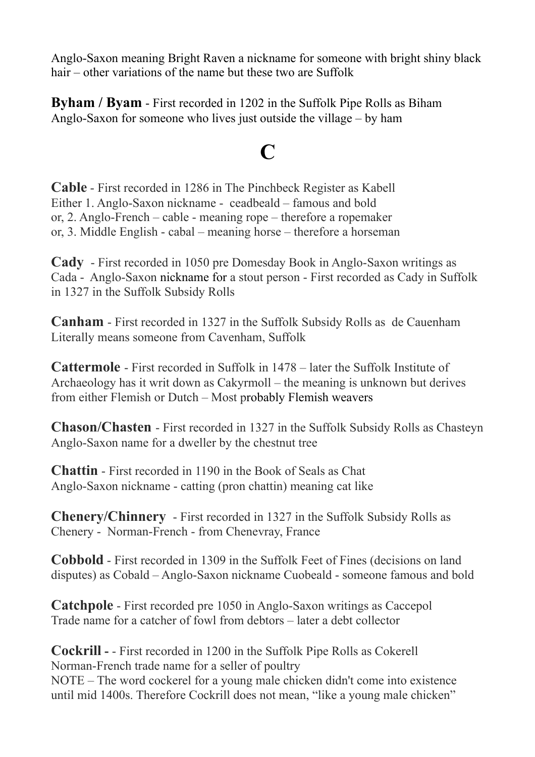Anglo-Saxon meaning Bright Raven a nickname for someone with bright shiny black hair – other variations of the name but these two are Suffolk

**Byham / Byam** - First recorded in 1202 in the Suffolk Pipe Rolls as Biham Anglo-Saxon for someone who lives just outside the village – by ham

### **C**

**Cable** - First recorded in 1286 in The Pinchbeck Register as Kabell Either 1. Anglo-Saxon nickname - ceadbeald – famous and bold or, 2. Anglo-French – cable - meaning rope – therefore a ropemaker or, 3. Middle English - cabal – meaning horse – therefore a horseman

**Cady** - First recorded in 1050 pre Domesday Book in Anglo-Saxon writings as Cada - Anglo-Saxon nickname for a stout person - First recorded as Cady in Suffolk in 1327 in the Suffolk Subsidy Rolls

**Canham** - First recorded in 1327 in the Suffolk Subsidy Rolls as de Cauenham Literally means someone from Cavenham, Suffolk

**Cattermole** - First recorded in Suffolk in 1478 – later the Suffolk Institute of Archaeology has it writ down as Cakyrmoll – the meaning is unknown but derives from either Flemish or Dutch – Most probably Flemish weavers

**Chason/Chasten** - First recorded in 1327 in the Suffolk Subsidy Rolls as Chasteyn Anglo-Saxon name for a dweller by the chestnut tree

**Chattin** - First recorded in 1190 in the Book of Seals as Chat Anglo-Saxon nickname - catting (pron chattin) meaning cat like

**Chenery/Chinnery** - First recorded in 1327 in the Suffolk Subsidy Rolls as Chenery - Norman-French - from Chenevray, France

**Cobbold** - First recorded in 1309 in the Suffolk Feet of Fines (decisions on land disputes) as Cobald – Anglo-Saxon nickname Cuobeald - someone famous and bold

**Catchpole** - First recorded pre 1050 in Anglo-Saxon writings as Caccepol Trade name for a catcher of fowl from debtors – later a debt collector

**Cockrill -** - First recorded in 1200 in the Suffolk Pipe Rolls as Cokerell Norman-French trade name for a seller of poultry NOTE – The word cockerel for a young male chicken didn't come into existence until mid 1400s. Therefore Cockrill does not mean, "like a young male chicken"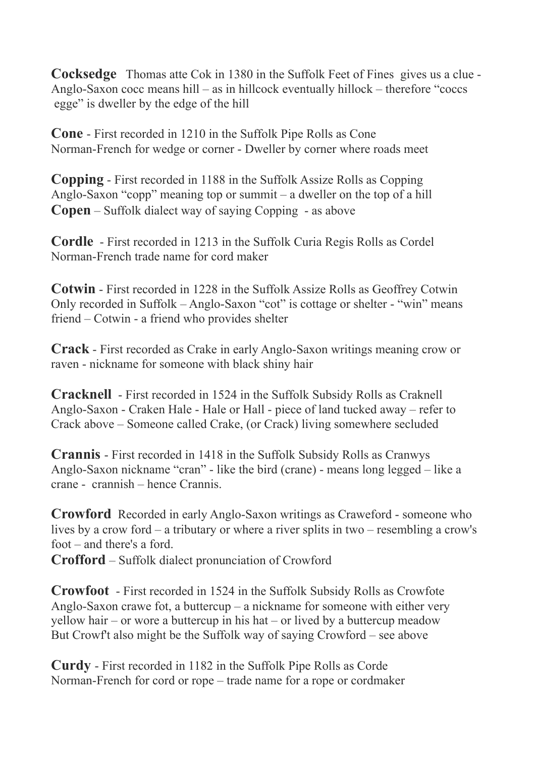**Cocksedge** Thomas atte Cok in 1380 in the Suffolk Feet of Fines gives us a clue - Anglo-Saxon cocc means hill – as in hillcock eventually hillock – therefore "coccs egge" is dweller by the edge of the hill

**Cone** - First recorded in 1210 in the Suffolk Pipe Rolls as Cone Norman-French for wedge or corner - Dweller by corner where roads meet

**Copping** - First recorded in 1188 in the Suffolk Assize Rolls as Copping Anglo-Saxon "copp" meaning top or summit – a dweller on the top of a hill **Copen** – Suffolk dialect way of saying Copping - as above

**Cordle** - First recorded in 1213 in the Suffolk Curia Regis Rolls as Cordel Norman-French trade name for cord maker

**Cotwin** - First recorded in 1228 in the Suffolk Assize Rolls as Geoffrey Cotwin Only recorded in Suffolk – Anglo-Saxon "cot" is cottage or shelter - "win" means friend – Cotwin - a friend who provides shelter

**Crack** - First recorded as Crake in early Anglo-Saxon writings meaning crow or raven - nickname for someone with black shiny hair

**Cracknell** - First recorded in 1524 in the Suffolk Subsidy Rolls as Craknell Anglo-Saxon - Craken Hale - Hale or Hall - piece of land tucked away – refer to Crack above – Someone called Crake, (or Crack) living somewhere secluded

**Crannis** - First recorded in 1418 in the Suffolk Subsidy Rolls as Cranwys Anglo-Saxon nickname "cran" - like the bird (crane) - means long legged – like a crane - crannish – hence Crannis.

**Crowford** Recorded in early Anglo-Saxon writings as Craweford - someone who lives by a crow ford – a tributary or where a river splits in two – resembling a crow's foot – and there's a ford.

**Crofford** – Suffolk dialect pronunciation of Crowford

**Crowfoot** - First recorded in 1524 in the Suffolk Subsidy Rolls as Crowfote Anglo-Saxon crawe fot, a buttercup – a nickname for someone with either very yellow hair – or wore a buttercup in his hat – or lived by a buttercup meadow But Crowf't also might be the Suffolk way of saying Crowford – see above

**Curdy** - First recorded in 1182 in the Suffolk Pipe Rolls as Corde Norman-French for cord or rope – trade name for a rope or cordmaker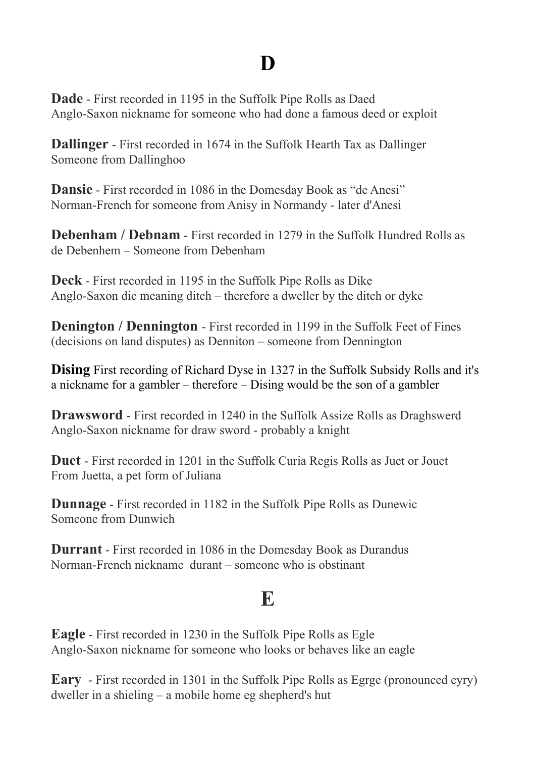## **D**

**Dade** - First recorded in 1195 in the Suffolk Pipe Rolls as Daed Anglo-Saxon nickname for someone who had done a famous deed or exploit

**Dallinger** - First recorded in 1674 in the Suffolk Hearth Tax as Dallinger Someone from Dallinghoo

**Dansie** - First recorded in 1086 in the Domesday Book as "de Anesi" Norman-French for someone from Anisy in Normandy - later d'Anesi

**Debenham / Debnam** - First recorded in 1279 in the Suffolk Hundred Rolls as de Debenhem – Someone from Debenham

**Deck** - First recorded in 1195 in the Suffolk Pipe Rolls as Dike Anglo-Saxon dic meaning ditch – therefore a dweller by the ditch or dyke

**Denington / Dennington - First recorded in 1199 in the Suffolk Feet of Fines** (decisions on land disputes) as Denniton – someone from Dennington

**Dising** First recording of Richard Dyse in 1327 in the Suffolk Subsidy Rolls and it's a nickname for a gambler – therefore – Dising would be the son of a gambler

**Drawsword** - First recorded in 1240 in the Suffolk Assize Rolls as Draghswerd Anglo-Saxon nickname for draw sword - probably a knight

**Duet** - First recorded in 1201 in the Suffolk Curia Regis Rolls as Juet or Jouet From Juetta, a pet form of Juliana

**Dunnage** - First recorded in 1182 in the Suffolk Pipe Rolls as Dunewic Someone from Dunwich

**Durrant** - First recorded in 1086 in the Domesday Book as Durandus Norman-French nickname durant – someone who is obstinant

### **E**

**Eagle** - First recorded in 1230 in the Suffolk Pipe Rolls as Egle Anglo-Saxon nickname for someone who looks or behaves like an eagle

**Eary** - First recorded in 1301 in the Suffolk Pipe Rolls as Egrge (pronounced eyry) dweller in a shieling – a mobile home eg shepherd's hut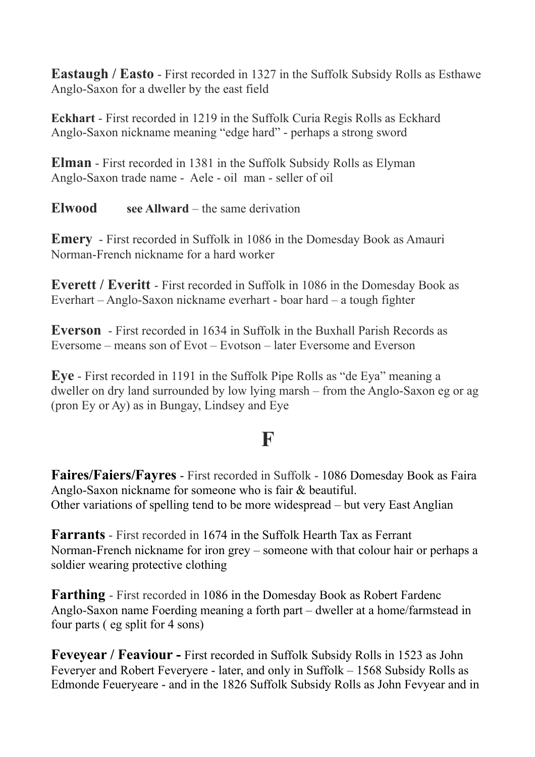**Eastaugh / Easto** - First recorded in 1327 in the Suffolk Subsidy Rolls as Esthawe Anglo-Saxon for a dweller by the east field

**Eckhart** - First recorded in 1219 in the Suffolk Curia Regis Rolls as Eckhard Anglo-Saxon nickname meaning "edge hard" - perhaps a strong sword

**Elman** - First recorded in 1381 in the Suffolk Subsidy Rolls as Elyman Anglo-Saxon trade name - Aele - oil man - seller of oil

**Elwood see Allward** – the same derivation

**Emery** - First recorded in Suffolk in 1086 in the Domesday Book as Amauri Norman-French nickname for a hard worker

**Everett / Everitt** - First recorded in Suffolk in 1086 in the Domesday Book as Everhart – Anglo-Saxon nickname everhart - boar hard – a tough fighter

**Everson** - First recorded in 1634 in Suffolk in the Buxhall Parish Records as Eversome – means son of Evot – Evotson – later Eversome and Everson

**Eye** - First recorded in 1191 in the Suffolk Pipe Rolls as "de Eya" meaning a dweller on dry land surrounded by low lying marsh – from the Anglo-Saxon eg or ag (pron Ey or Ay) as in Bungay, Lindsey and Eye

#### **F**

**Faires/Faiers/Fayres** - First recorded in Suffolk - 1086 Domesday Book as Faira Anglo-Saxon nickname for someone who is fair & beautiful. Other variations of spelling tend to be more widespread – but very East Anglian

**Farrants** - First recorded in 1674 in the Suffolk Hearth Tax as Ferrant Norman-French nickname for iron grey – someone with that colour hair or perhaps a soldier wearing protective clothing

**Farthing** - First recorded in 1086 in the Domesday Book as Robert Fardenc Anglo-Saxon name Foerding meaning a forth part – dweller at a home/farmstead in four parts ( eg split for 4 sons)

**Feveyear / Feaviour -** First recorded in Suffolk Subsidy Rolls in 1523 as John Feveryer and Robert Feveryere - later, and only in Suffolk – 1568 Subsidy Rolls as Edmonde Feueryeare - and in the 1826 Suffolk Subsidy Rolls as John Fevyear and in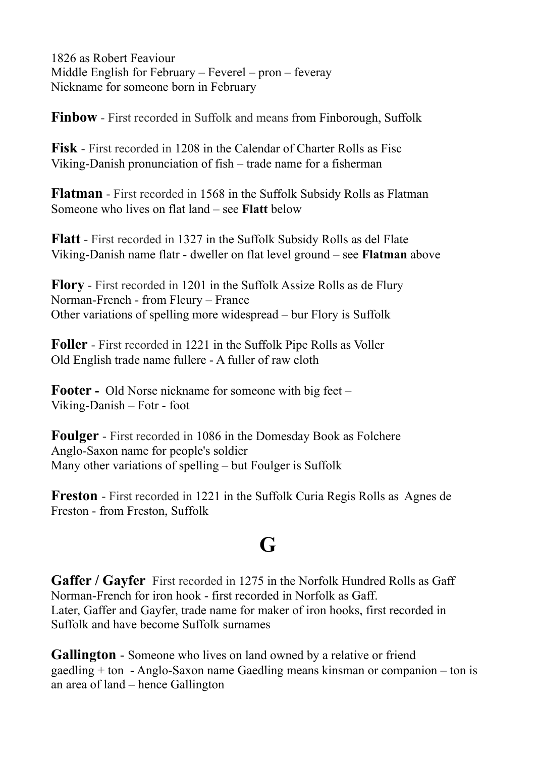1826 as Robert Feaviour Middle English for February – Feverel – pron – feveray Nickname for someone born in February

**Finbow** - First recorded in Suffolk and means from Finborough, Suffolk

**Fisk** - First recorded in 1208 in the Calendar of Charter Rolls as Fisc Viking-Danish pronunciation of fish – trade name for a fisherman

**Flatman** - First recorded in 1568 in the Suffolk Subsidy Rolls as Flatman Someone who lives on flat land – see **Flatt** below

**Flatt** - First recorded in 1327 in the Suffolk Subsidy Rolls as del Flate Viking-Danish name flatr - dweller on flat level ground – see **Flatman** above

**Flory** - First recorded in 1201 in the Suffolk Assize Rolls as de Flury Norman-French - from Fleury – France Other variations of spelling more widespread – bur Flory is Suffolk

**Foller** - First recorded in 1221 in the Suffolk Pipe Rolls as Voller Old English trade name fullere - A fuller of raw cloth

**Footer -** Old Norse nickname for someone with big feet – Viking-Danish – Fotr - foot

**Foulger** - First recorded in 1086 in the Domesday Book as Folchere Anglo-Saxon name for people's soldier Many other variations of spelling – but Foulger is Suffolk

**Freston** - First recorded in 1221 in the Suffolk Curia Regis Rolls as Agnes de Freston - from Freston, Suffolk

## **G**

**Gaffer / Gayfer** First recorded in 1275 in the Norfolk Hundred Rolls as Gaff Norman-French for iron hook - first recorded in Norfolk as Gaff. Later, Gaffer and Gayfer, trade name for maker of iron hooks, first recorded in Suffolk and have become Suffolk surnames

**Gallington** - Someone who lives on land owned by a relative or friend gaedling + ton - Anglo-Saxon name Gaedling means kinsman or companion – ton is an area of land – hence Gallington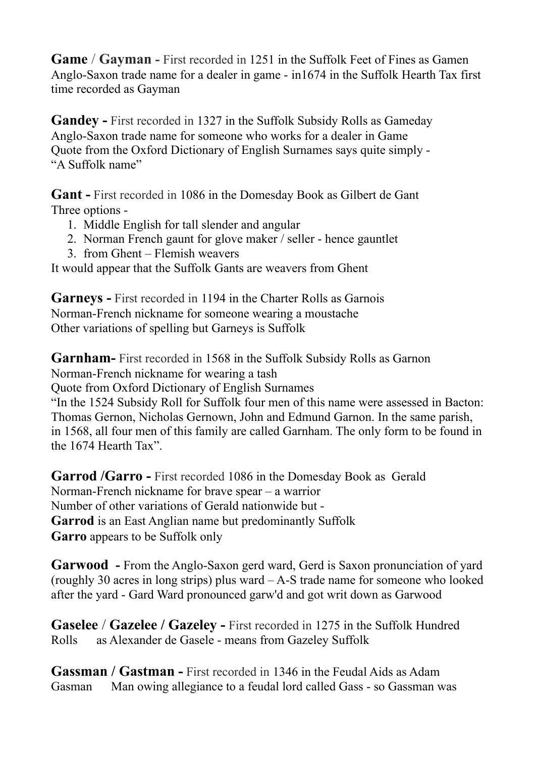**Game** / **Gayman -** First recorded in 1251 in the Suffolk Feet of Fines as Gamen Anglo-Saxon trade name for a dealer in game - in1674 in the Suffolk Hearth Tax first time recorded as Gayman

**Gandey -** First recorded in 1327 in the Suffolk Subsidy Rolls as Gameday Anglo-Saxon trade name for someone who works for a dealer in Game Quote from the Oxford Dictionary of English Surnames says quite simply - "A Suffolk name"

**Gant -** First recorded in 1086 in the Domesday Book as Gilbert de Gant Three options -

- 1. Middle English for tall slender and angular
- 2. Norman French gaunt for glove maker / seller hence gauntlet
- 3. from Ghent Flemish weavers

It would appear that the Suffolk Gants are weavers from Ghent

**Garneys -** First recorded in 1194 in the Charter Rolls as Garnois Norman-French nickname for someone wearing a moustache Other variations of spelling but Garneys is Suffolk

**Garnham-** First recorded in 1568 in the Suffolk Subsidy Rolls as Garnon Norman-French nickname for wearing a tash

Quote from Oxford Dictionary of English Surnames

"In the 1524 Subsidy Roll for Suffolk four men of this name were assessed in Bacton: Thomas Gernon, Nicholas Gernown, John and Edmund Garnon. In the same parish, in 1568, all four men of this family are called Garnham. The only form to be found in the 1674 Hearth Tax".

**Garrod /Garro -** First recorded 1086 in the Domesday Book as Gerald Norman-French nickname for brave spear – a warrior Number of other variations of Gerald nationwide but - **Garrod** is an East Anglian name but predominantly Suffolk **Garro** appears to be Suffolk only

**Garwood -** From the Anglo-Saxon gerd ward, Gerd is Saxon pronunciation of yard (roughly 30 acres in long strips) plus ward – A-S trade name for someone who looked after the yard - Gard Ward pronounced garw'd and got writ down as Garwood

**Gaselee** / **Gazelee / Gazeley -** First recorded in 1275 in the Suffolk Hundred Rolls as Alexander de Gasele - means from Gazeley Suffolk

**Gassman / Gastman -** First recorded in 1346 in the Feudal Aids as Adam Gasman Man owing allegiance to a feudal lord called Gass - so Gassman was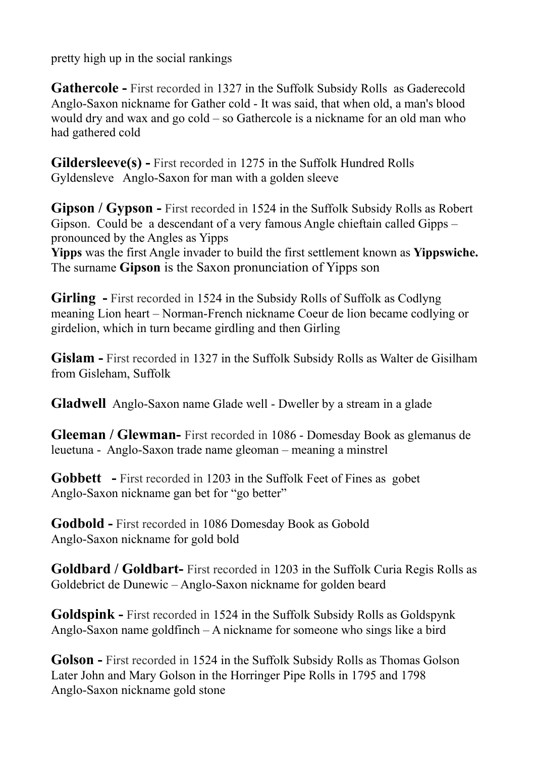pretty high up in the social rankings

**Gathercole -** First recorded in 1327 in the Suffolk Subsidy Rolls as Gaderecold Anglo-Saxon nickname for Gather cold - It was said, that when old, a man's blood would dry and wax and go cold – so Gathercole is a nickname for an old man who had gathered cold

**Gildersleeve(s) -** First recorded in 1275 in the Suffolk Hundred Rolls Gyldensleve Anglo-Saxon for man with a golden sleeve

**Gipson / Gypson -** First recorded in 1524 in the Suffolk Subsidy Rolls as Robert Gipson. Could be a descendant of a very famous Angle chieftain called Gipps – pronounced by the Angles as Yipps

**Yipps** was the first Angle invader to build the first settlement known as **Yippswiche.** The surname **Gipson** is the Saxon pronunciation of Yipps son

**Girling -** First recorded in 1524 in the Subsidy Rolls of Suffolk as Codlyng meaning Lion heart – Norman-French nickname Coeur de lion became codlying or girdelion, which in turn became girdling and then Girling

**Gislam -** First recorded in 1327 in the Suffolk Subsidy Rolls as Walter de Gisilham from Gisleham, Suffolk

**Gladwell** Anglo-Saxon name Glade well - Dweller by a stream in a glade

**Gleeman / Glewman-** First recorded in 1086 - Domesday Book as glemanus de leuetuna - Anglo-Saxon trade name gleoman – meaning a minstrel

**Gobbett -** First recorded in 1203 in the Suffolk Feet of Fines as gobet Anglo-Saxon nickname gan bet for "go better"

**Godbold -** First recorded in 1086 Domesday Book as Gobold Anglo-Saxon nickname for gold bold

**Goldbard / Goldbart-** First recorded in 1203 in the Suffolk Curia Regis Rolls as Goldebrict de Dunewic – Anglo-Saxon nickname for golden beard

**Goldspink -** First recorded in 1524 in the Suffolk Subsidy Rolls as Goldspynk Anglo-Saxon name goldfinch – A nickname for someone who sings like a bird

**Golson -** First recorded in 1524 in the Suffolk Subsidy Rolls as Thomas Golson Later John and Mary Golson in the Horringer Pipe Rolls in 1795 and 1798 Anglo-Saxon nickname gold stone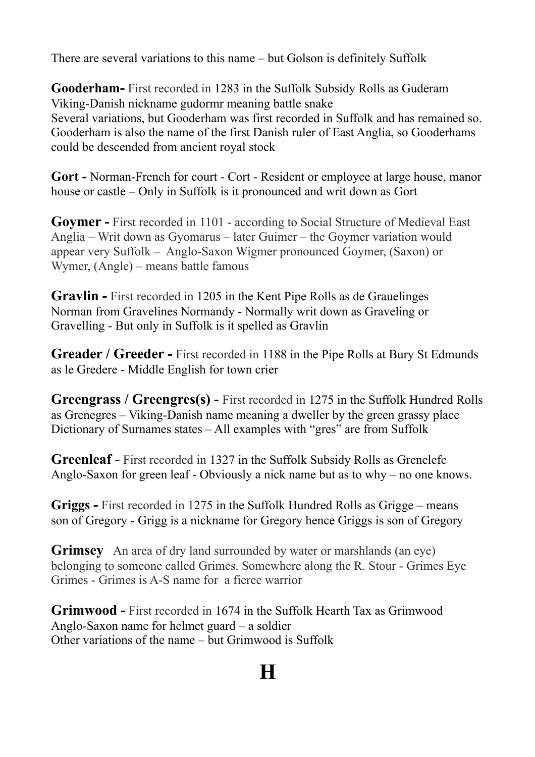There are several variations to this name – but Golson is definitely Suffolk

**Gooderham-** First recorded in 1283 in the Suffolk Subsidy Rolls as Guderam Viking-Danish nickname gudormr meaning battle snake Several variations, but Gooderham was first recorded in Suffolk and has remained so. Gooderham is also the name of the first Danish ruler of East Anglia, so Gooderhams could be descended from ancient royal stock

**Gort -** Norman-French for court - Cort - Resident or employee at large house, manor house or castle – Only in Suffolk is it pronounced and writ down as Gort

**Goymer -** First recorded in 1101 - according to Social Structure of Medieval East Anglia – Writ down as Gyomarus – later Guimer – the Goymer variation would appear very Suffolk – Anglo-Saxon Wigmer pronounced Goymer, (Saxon) or Wymer, (Angle) – means battle famous

**Gravlin -** First recorded in 1205 in the Kent Pipe Rolls as de Grauelinges Norman from Gravelines Normandy - Normally writ down as Graveling or Gravelling - But only in Suffolk is it spelled as Gravlin

**Greader / Greeder -** First recorded in 1188 in the Pipe Rolls at Bury St Edmunds as le Gredere - Middle English for town crier

**Greengrass / Greengres(s) -** First recorded in 1275 in the Suffolk Hundred Rolls as Grenegres – Viking-Danish name meaning a dweller by the green grassy place Dictionary of Surnames states – All examples with "gres" are from Suffolk

**Greenleaf -** First recorded in 1327 in the Suffolk Subsidy Rolls as Grenelefe Anglo-Saxon for green leaf - Obviously a nick name but as to why – no one knows.

**Griggs -** First recorded in 1275 in the Suffolk Hundred Rolls as Grigge – means son of Gregory - Grigg is a nickname for Gregory hence Griggs is son of Gregory

**Grimsey** An area of dry land surrounded by water or marshlands (an eye) belonging to someone called Grimes. Somewhere along the R. Stour - Grimes Eye Grimes - Grimes is A-S name for a fierce warrior

**Grimwood -** First recorded in 1674 in the Suffolk Hearth Tax as Grimwood Anglo-Saxon name for helmet guard – a soldier Other variations of the name – but Grimwood is Suffolk

# **H**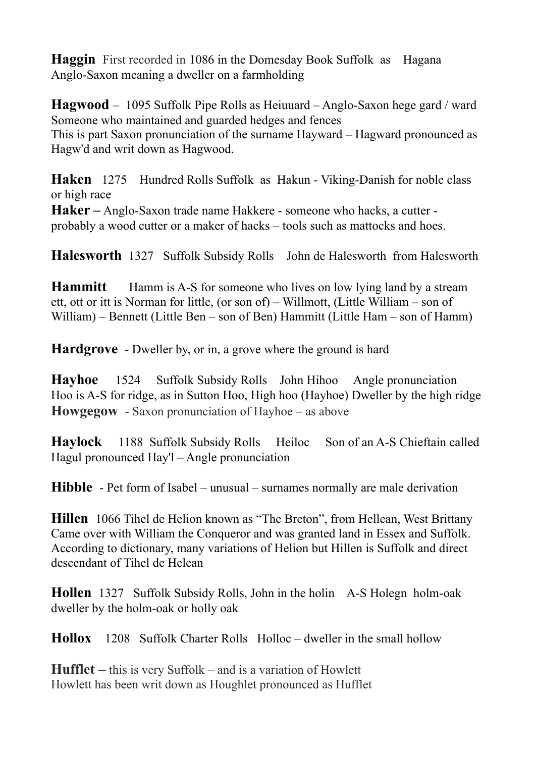**Haggin** First recorded in 1086 in the Domesday Book Suffolk as Hagana Anglo-Saxon meaning a dweller on a farmholding

**Hagwood** – 1095 Suffolk Pipe Rolls as Heiuuard – Anglo-Saxon hege gard / ward Someone who maintained and guarded hedges and fences This is part Saxon pronunciation of the surname Hayward – Hagward pronounced as Hagw'd and writ down as Hagwood.

**Haken** 1275 Hundred Rolls Suffolk as Hakun - Viking-Danish for noble class or high race

**Haker –** Anglo-Saxon trade name Hakkere - someone who hacks, a cutter probably a wood cutter or a maker of hacks – tools such as mattocks and hoes.

**Halesworth** 1327 Suffolk Subsidy Rolls John de Halesworth from Halesworth

**Hammitt** Hamm is A-S for someone who lives on low lying land by a stream ett, ott or itt is Norman for little, (or son of) – Willmott, (Little William – son of William) – Bennett (Little Ben – son of Ben) Hammitt (Little Ham – son of Hamm)

**Hardgrove** - Dweller by, or in, a grove where the ground is hard

**Hayhoe** 1524 Suffolk Subsidy Rolls John Hihoo Angle pronunciation Hoo is A-S for ridge, as in Sutton Hoo, High hoo (Hayhoe) Dweller by the high ridge **Howgegow** - Saxon pronunciation of Hayhoe – as above

**Haylock** 1188 Suffolk Subsidy Rolls Heiloc Son of an A-S Chieftain called Hagul pronounced Hay'l – Angle pronunciation

**Hibble** - Pet form of Isabel – unusual – surnames normally are male derivation

**Hillen** 1066 Tihel de Helion known as "The Breton", from Hellean, West Brittany Came over with William the Conqueror and was granted land in Essex and Suffolk. According to dictionary, many variations of Helion but Hillen is Suffolk and direct descendant of Tihel de Helean

**Hollen** 1327 Suffolk Subsidy Rolls, John in the holin A-S Holegn holm-oak dweller by the holm-oak or holly oak

**Hollox** 1208 Suffolk Charter Rolls Holloc – dweller in the small hollow

**Hufflet –** this is very Suffolk – and is a variation of Howlett Howlett has been writ down as Houghlet pronounced as Hufflet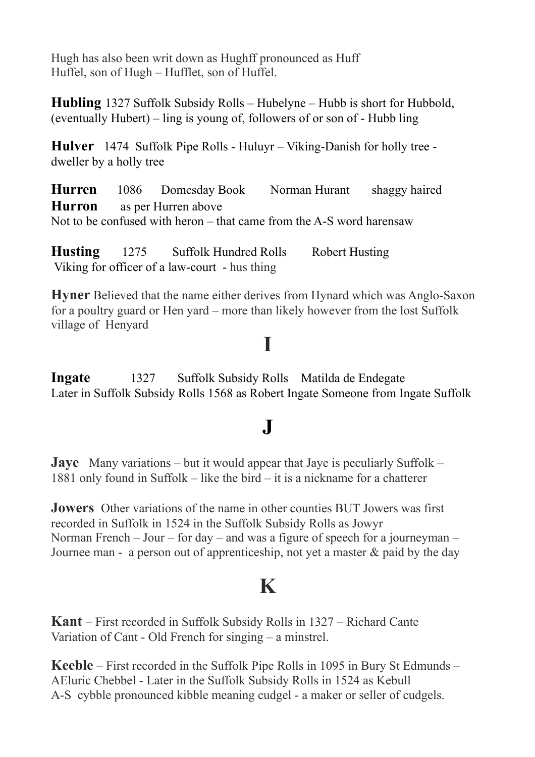Hugh has also been writ down as Hughff pronounced as Huff Huffel, son of Hugh – Hufflet, son of Huffel.

**Hubling** 1327 Suffolk Subsidy Rolls – Hubelyne – Hubb is short for Hubbold, (eventually Hubert) – ling is young of, followers of or son of - Hubb ling

**Hulver** 1474 Suffolk Pipe Rolls - Huluyr – Viking-Danish for holly tree dweller by a holly tree

**Hurren** 1086 Domesday Book Norman Hurant shaggy haired **Hurron** as per Hurren above Not to be confused with heron – that came from the A-S word harensaw

**Husting** 1275 Suffolk Hundred Rolls Robert Husting Viking for officer of a law-court - hus thing

**Hyner** Believed that the name either derives from Hynard which was Anglo-Saxon for a poultry guard or Hen yard – more than likely however from the lost Suffolk village of Henyard

#### **I**

**Ingate** 1327 Suffolk Subsidy Rolls Matilda de Endegate Later in Suffolk Subsidy Rolls 1568 as Robert Ingate Someone from Ingate Suffolk

#### **J**

**Jaye** Many variations – but it would appear that Jaye is peculiarly Suffolk – 1881 only found in Suffolk – like the bird – it is a nickname for a chatterer

**Jowers** Other variations of the name in other counties BUT Jowers was first recorded in Suffolk in 1524 in the Suffolk Subsidy Rolls as Jowyr Norman French – Jour – for day – and was a figure of speech for a journeyman – Journee man - a person out of apprenticeship, not yet a master & paid by the day

#### **K**

**Kant** – First recorded in Suffolk Subsidy Rolls in 1327 – Richard Cante Variation of Cant - Old French for singing – a minstrel.

**Keeble** – First recorded in the Suffolk Pipe Rolls in 1095 in Bury St Edmunds – AEluric Chebbel - Later in the Suffolk Subsidy Rolls in 1524 as Kebull A-S cybble pronounced kibble meaning cudgel - a maker or seller of cudgels.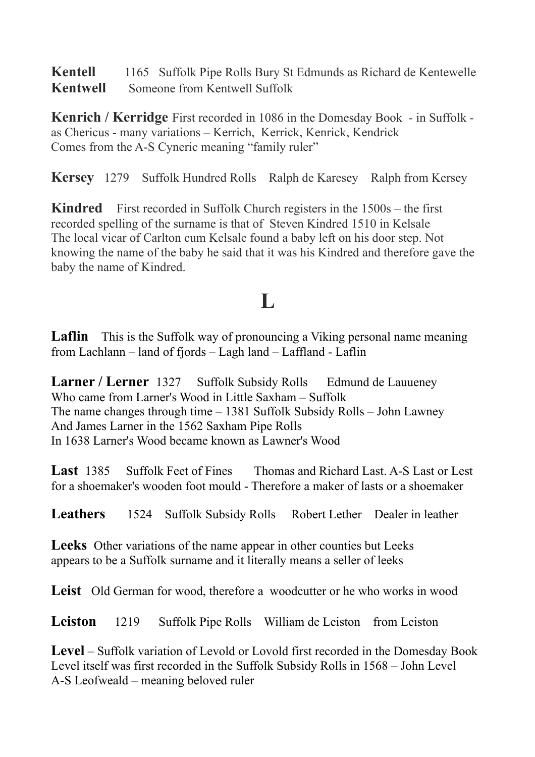**Kentell** 1165 Suffolk Pipe Rolls Bury St Edmunds as Richard de Kentewelle **Kentwell** Someone from Kentwell Suffolk

**Kenrich / Kerridge** First recorded in 1086 in the Domesday Book - in Suffolk as Chericus - many variations – Kerrich, Kerrick, Kenrick, Kendrick Comes from the A-S Cyneric meaning "family ruler"

**Kersey** 1279 Suffolk Hundred Rolls Ralph de Karesey Ralph from Kersey

**Kindred** First recorded in Suffolk Church registers in the 1500s – the first recorded spelling of the surname is that of Steven Kindred 1510 in Kelsale The local vicar of Carlton cum Kelsale found a baby left on his door step. Not knowing the name of the baby he said that it was his Kindred and therefore gave the baby the name of Kindred.

# **L**

Laflin This is the Suffolk way of pronouncing a Viking personal name meaning from Lachlann – land of fjords – Lagh land – Laffland - Laflin

**Larner / Lerner** 1327 Suffolk Subsidy Rolls Edmund de Lauueney Who came from Larner's Wood in Little Saxham – Suffolk The name changes through time – 1381 Suffolk Subsidy Rolls – John Lawney And James Larner in the 1562 Saxham Pipe Rolls In 1638 Larner's Wood became known as Lawner's Wood

**Last** 1385 Suffolk Feet of Fines Thomas and Richard Last. A-S Last or Lest for a shoemaker's wooden foot mould - Therefore a maker of lasts or a shoemaker

**Leathers** 1524 Suffolk Subsidy Rolls Robert Lether Dealer in leather

Leeks Other variations of the name appear in other counties but Leeks appears to be a Suffolk surname and it literally means a seller of leeks

Leist Old German for wood, therefore a woodcutter or he who works in wood

**Leiston** 1219 Suffolk Pipe Rolls William de Leiston from Leiston

**Level** – Suffolk variation of Levold or Lovold first recorded in the Domesday Book Level itself was first recorded in the Suffolk Subsidy Rolls in 1568 – John Level A-S Leofweald – meaning beloved ruler